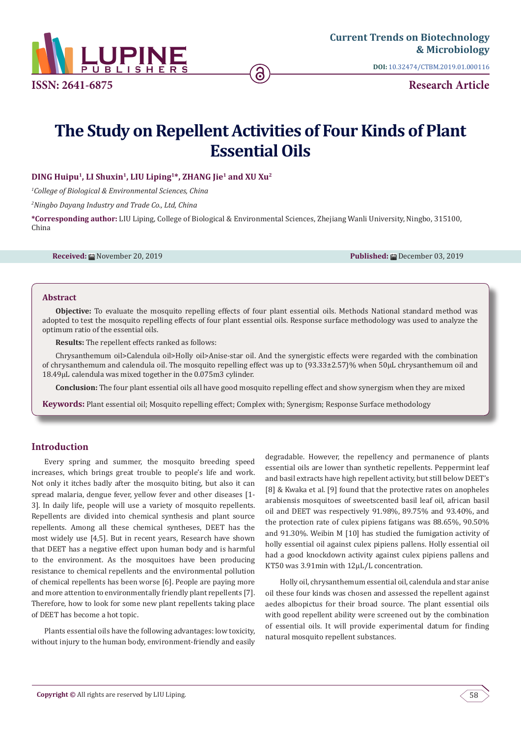

**DOI:** [10.32474/CTBM.2019.01.00011](http://dx.doi.org/10.32474/CTBM.2019.01.000116)6

**Research Article**

## **The Study on Repellent Activities of Four Kinds of Plant Essential Oils**

**DING Huipu1, LI Shuxin1, LIU Liping1\*, ZHANG Jie1 and XU Xu2**

*1 College of Biological & Environmental Sciences, China*

*2 Ningbo Dayang Industry and Trade Co., Ltd, China*

**\*Corresponding author:** LIU Liping, College of Biological & Environmental Sciences, Zhejiang Wanli University, Ningbo, 315100, China

**Received:** November 20, 2019 **Published:** December 03, 2019

#### **Abstract**

**Objective:** To evaluate the mosquito repelling effects of four plant essential oils. Methods National standard method was adopted to test the mosquito repelling effects of four plant essential oils. Response surface methodology was used to analyze the optimum ratio of the essential oils.

**Results:** The repellent effects ranked as follows:

Chrysanthemum oil>Calendula oil>Holly oil>Anise-star oil. And the synergistic effects were regarded with the combination of chrysanthemum and calendula oil. The mosquito repelling effect was up to (93.33±2.57)% when 50μL chrysanthemum oil and 18.49μL calendula was mixed together in the 0.075m3 cylinder.

**Conclusion:** The four plant essential oils all have good mosquito repelling effect and show synergism when they are mixed

**Keywords:** Plant essential oil; Mosquito repelling effect; Complex with; Synergism; Response Surface methodology

#### **Introduction**

Every spring and summer, the mosquito breeding speed increases, which brings great trouble to people's life and work. Not only it itches badly after the mosquito biting, but also it can spread malaria, dengue fever, yellow fever and other diseases [1- 3]. In daily life, people will use a variety of mosquito repellents. Repellents are divided into chemical synthesis and plant source repellents. Among all these chemical syntheses, DEET has the most widely use [4,5]. But in recent years, Research have shown that DEET has a negative effect upon human body and is harmful to the environment. As the mosquitoes have been producing resistance to chemical repellents and the environmental pollution of chemical repellents has been worse [6]. People are paying more and more attention to environmentally friendly plant repellents [7]. Therefore, how to look for some new plant repellents taking place of DEET has become a hot topic.

Plants essential oils have the following advantages: low toxicity, without injury to the human body, environment-friendly and easily

degradable. However, the repellency and permanence of plants essential oils are lower than synthetic repellents. Peppermint leaf and basil extracts have high repellent activity, but still below DEET's [8] & Kwaka et al. [9] found that the protective rates on anopheles arabiensis mosquitoes of sweetscented basil leaf oil, african basil oil and DEET was respectively 91.98%, 89.75% and 93.40%, and the protection rate of culex pipiens fatigans was 88.65%, 90.50% and 91.30%. Weibin M [10] has studied the fumigation activity of holly essential oil against culex pipiens pallens. Holly essential oil had a good knockdown activity against culex pipiens pallens and KT50 was 3.91min with 12μL/L concentration.

 Holly oil, chrysanthemum essential oil, calendula and star anise oil these four kinds was chosen and assessed the repellent against aedes albopictus for their broad source. The plant essential oils with good repellent ability were screened out by the combination of essential oils. It will provide experimental datum for finding natural mosquito repellent substances.

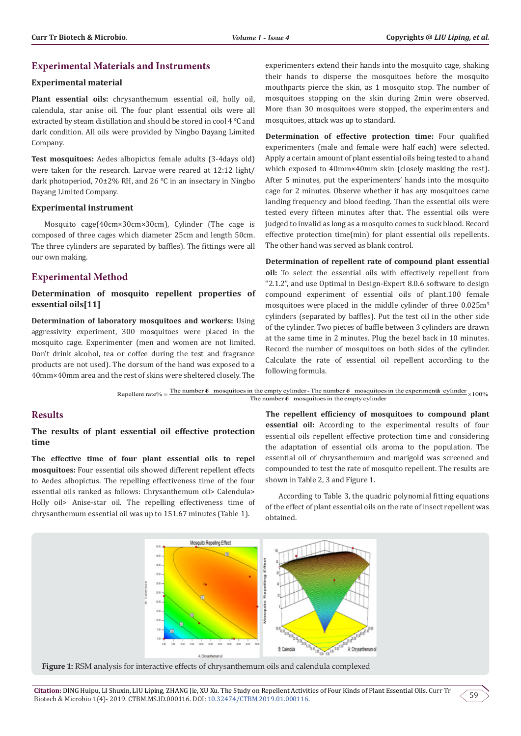#### **Experimental Materials and Instruments**

#### **Experimental material**

**Plant essential oils:** chrysanthemum essential oil, holly oil, calendula, star anise oil. The four plant essential oils were all extracted by steam distillation and should be stored in cool 4 ℃ and dark condition. All oils were provided by Ningbo Dayang Limited Company.

**Test mosquitoes:** Aedes albopictus female adults (3-4days old) were taken for the research. Larvae were reared at 12:12 light/ dark photoperiod, 70±2% RH, and 26 ℃ in an insectary in Ningbo Dayang Limited Company.

#### **Experimental instrument**

Mosquito cage(40cm×30cm×30cm), Cylinder (The cage is composed of three cages which diameter 25cm and length 50cm. The three cylinders are separated by baffles). The fittings were all our own making.

### **Experimental Method**

**Determination of mosquito repellent properties of essential oils[11]**

**Determination of laboratory mosquitoes and workers:** Using aggressivity experiment, 300 mosquitoes were placed in the mosquito cage. Experimenter (men and women are not limited. Don't drink alcohol, tea or coffee during the test and fragrance products are not used). The dorsum of the hand was exposed to a 40mm×40mm area and the rest of skins were sheltered closely. The

experimenters extend their hands into the mosquito cage, shaking their hands to disperse the mosquitoes before the mosquito mouthparts pierce the skin, as 1 mosquito stop. The number of mosquitoes stopping on the skin during 2min were observed. More than 30 mosquitoes were stopped, the experimenters and mosquitoes, attack was up to standard.

**Determination of effective protection time:** Four qualified experimenters (male and female were half each) were selected. Apply a certain amount of plant essential oils being tested to a hand which exposed to 40mm×40mm skin (closely masking the rest). After 5 minutes, put the experimenters' hands into the mosquito cage for 2 minutes. Observe whether it has any mosquitoes came landing frequency and blood feeding. Than the essential oils were tested every fifteen minutes after that. The essential oils were judged to invalid as long as a mosquito comes to suck blood. Record effective protection time(min) for plant essential oils repellents. The other hand was served as blank control.

**Determination of repellent rate of compound plant essential oil:** To select the essential oils with effectively repellent from "2.1.2", and use Optimal in Design-Expert 8.0.6 software to design compound experiment of essential oils of plant.100 female mosquitoes were placed in the middle cylinder of three 0.025m3 cylinders (separated by baffles). Put the test oil in the other side of the cylinder. Two pieces of baffle between 3 cylinders are drawn at the same time in 2 minutes. Plug the bezel back in 10 minutes. Record the number of mosquitoes on both sides of the cylinder. Calculate the rate of essential oil repellent according to the following formula.

Repellent rate% =  $\frac{\text{The number 6} \text{mosquires in the empty cylinder}}{T}$  =  $\frac{100\%}{T}$  =  $\frac{100\%}{T}$  =  $\frac{100\%}{T}$  =  $\frac{100\%}{T}$  =  $\frac{100\%}{T}$  =  $\frac{100\%}{T}$  =  $\frac{100\%}{T}$  =  $\frac{100\%}{T}$  =  $\frac{100\%}{T}$  =  $\frac{100\%}{T}$  =  $\frac{100\%}{T}$  = The number  $\delta$  mosquitoes in the empty cylinder

#### **Results**

#### **The results of plant essential oil effective protection time**

**The effective time of four plant essential oils to repel mosquitoes:** Four essential oils showed different repellent effects to Aedes albopictus. The repelling effectiveness time of the four essential oils ranked as follows: Chrysanthemum oil> Calendula> Holly oil> Anise-star oil. The repelling effectiveness time of chrysanthemum essential oil was up to 151.67 minutes (Table 1).

**The repellent efficiency of mosquitoes to compound plant essential oil:** According to the experimental results of four essential oils repellent effective protection time and considering the adaptation of essential oils aroma to the population. The essential oil of chrysanthemum and marigold was screened and compounded to test the rate of mosquito repellent. The results are shown in Table 2, 3 and Figure 1.

According to Table 3, the quadric polynomial fitting equations of the effect of plant essential oils on the rate of insect repellent was obtained.



**Figure 1:** RSM analysis for interactive effects of chrysanthemum oils and calendula complexed

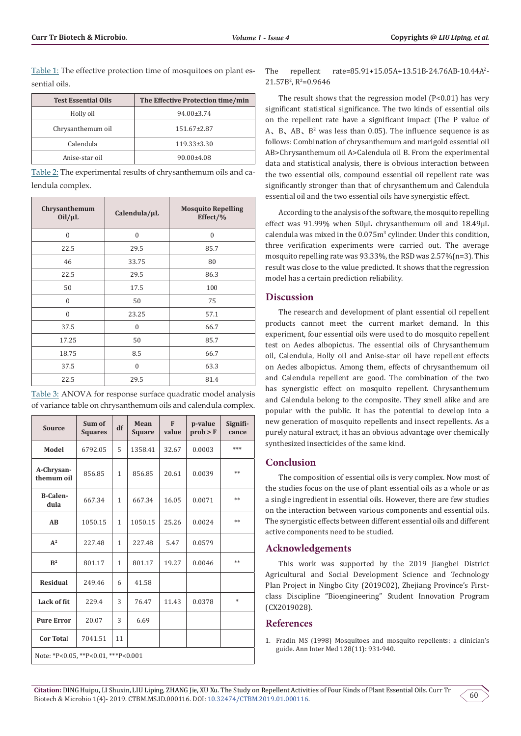Table 1: The effective protection time of mosquitoes on plant essential oils.

| <b>Test Essential Oils</b> | The Effective Protection time/min |  |  |
|----------------------------|-----------------------------------|--|--|
| Holly oil                  | 94.00±3.74                        |  |  |
| Chrysanthemum oil          | $151.67 \pm 2.87$                 |  |  |
| Calendula                  | $119.33 \pm 3.30$                 |  |  |
| Anise-star oil             | $90.00 \pm 4.08$                  |  |  |

Table 2: The experimental results of chrysanthemum oils and calendula complex.

| Chrysanthemum<br>Oil/µL | Calendula/µL | <b>Mosquito Repelling</b><br>Effect/% |  |  |
|-------------------------|--------------|---------------------------------------|--|--|
| $\mathbf{0}$            | $\theta$     | $\mathbf{0}$                          |  |  |
| 22.5                    | 29.5         | 85.7                                  |  |  |
| 46                      | 33.75        | 80                                    |  |  |
| 22.5                    | 29.5         | 86.3                                  |  |  |
| 50                      | 17.5         | 100                                   |  |  |
| $\mathbf{0}$            | 50           | 75                                    |  |  |
| $\mathbf{0}$            | 23.25        | 57.1                                  |  |  |
| 37.5                    | $\Omega$     | 66.7                                  |  |  |
| 17.25                   | 50           | 85.7                                  |  |  |
| 18.75                   | 8.5          | 66.7                                  |  |  |
| 37.5                    | $\Omega$     | 63.3                                  |  |  |
| 22.5                    | 29.5         | 81.4                                  |  |  |

| Table 3: ANOVA for response surface quadratic model analysis   |  |
|----------------------------------------------------------------|--|
| of variance table on chrysanthemum oils and calendula complex. |  |

| <b>Source</b>                       | Sum of<br><b>Squares</b> | df           | Mean<br><b>Square</b> | F<br>value | p-value<br>prob > F | Signifi-<br>cance |  |  |
|-------------------------------------|--------------------------|--------------|-----------------------|------------|---------------------|-------------------|--|--|
| Model                               | 6792.05                  | 5            | 1358.41               | 32.67      | 0.0003              | ***               |  |  |
| A-Chrysan-<br>themum oil            | 856.85                   | $\mathbf{1}$ | 856.85                | 20.61      | 0.0039              | **                |  |  |
| <b>B-Calen-</b><br>dula             | 667.34                   | $\mathbf{1}$ | 667.34                | 16.05      | 0.0071              | **                |  |  |
| AB                                  | 1050.15                  | $\mathbf{1}$ | 1050.15               | 25.26      | 0.0024              | $**$              |  |  |
| $A^2$                               | 227.48                   | $\mathbf{1}$ | 227.48                | 5.47       | 0.0579              |                   |  |  |
| $\mathbb{R}^2$                      | 801.17                   | $\mathbf{1}$ | 801.17                | 19.27      | 0.0046              | **                |  |  |
| <b>Residual</b>                     | 249.46                   | 6            | 41.58                 |            |                     |                   |  |  |
| Lack of fit                         | 229.4                    | 3            | 76.47                 | 11.43      | 0.0378              | $*$               |  |  |
| <b>Pure Error</b>                   | 20.07                    | 3            | 6.69                  |            |                     |                   |  |  |
| <b>Cor Total</b>                    | 7041.51                  | 11           |                       |            |                     |                   |  |  |
| Note: *P<0.05, **P<0.01, ***P<0.001 |                          |              |                       |            |                     |                   |  |  |

The repellent rate= $85.91+15.05A+13.51B-24.76AB-10.44A^2$  $21.57B<sup>2</sup>$ , R<sup>2</sup>=0.9646

The result shows that the regression model (P<0.01) has very significant statistical significance. The two kinds of essential oils on the repellent rate have a significant impact (The P value of A, B, AB,  $B^2$  was less than 0.05). The influence sequence is as follows: Combination of chrysanthemum and marigold essential oil AB>Chrysanthemum oil A>Calendula oil B. From the experimental data and statistical analysis, there is obvious interaction between the two essential oils, compound essential oil repellent rate was significantly stronger than that of chrysanthemum and Calendula essential oil and the two essential oils have synergistic effect.

According to the analysis of the software, the mosquito repelling effect was 91.99% when 50μL chrysanthemum oil and 18.49μL calendula was mixed in the 0.075m<sup>3</sup> cylinder. Under this condition, three verification experiments were carried out. The average mosquito repelling rate was 93.33%, the RSD was 2.57%(n=3). This result was close to the value predicted. It shows that the regression model has a certain prediction reliability.

#### **Discussion**

The research and development of plant essential oil repellent products cannot meet the current market demand. In this experiment, four essential oils were used to do mosquito repellent test on Aedes albopictus. The essential oils of Chrysanthemum oil, Calendula, Holly oil and Anise-star oil have repellent effects on Aedes albopictus. Among them, effects of chrysanthemum oil and Calendula repellent are good. The combination of the two has synergistic effect on mosquito repellent. Chrysanthemum and Calendula belong to the composite. They smell alike and are popular with the public. It has the potential to develop into a new generation of mosquito repellents and insect repellents. As a purely natural extract, it has an obvious advantage over chemically synthesized insecticides of the same kind.

#### **Conclusion**

The composition of essential oils is very complex. Now most of the studies focus on the use of plant essential oils as a whole or as a single ingredient in essential oils. However, there are few studies on the interaction between various components and essential oils. The synergistic effects between different essential oils and different active components need to be studied.

#### **Acknowledgements**

This work was supported by the 2019 Jiangbei District Agricultural and Social Development Science and Technology Plan Project in Ningbo City (2019C02), Zhejiang Province's Firstclass Discipline "Bioengineering" Student Innovation Program (CX2019028).

#### **References**

1. [Fradin MS \(1998\) Mosquitoes and mosquito repellents: a clinician's](mailto:https://www.ncbi.nlm.nih.gov/pubmed/9634433) [guide. Ann Inter Med 128\(11\): 931-940.](mailto:https://www.ncbi.nlm.nih.gov/pubmed/9634433)

60